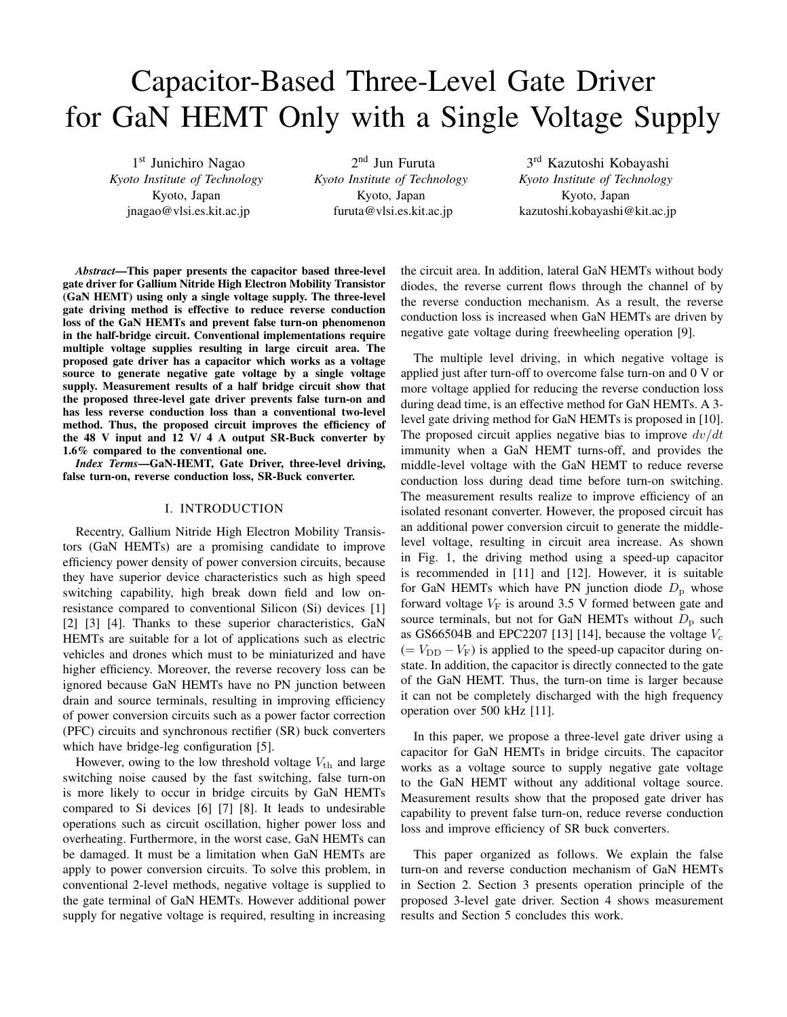# Capacitor-Based Three-Level Gate Driver for GaN HEMT Only with a Single Voltage Supply

1<sup>st</sup> Junichiro Nagao *Kyoto Institute of Technology* Kyoto, Japan jnagao@vlsi.es.kit.ac.jp

2<sup>nd</sup> Jun Furuta *Kyoto Institute of Technology* Kyoto, Japan furuta@vlsi.es.kit.ac.jp

3rd Kazutoshi Kobayashi *Kyoto Institute of Technology* Kyoto, Japan kazutoshi.kobayashi@kit.ac.jp

*Abstract*—This paper presents the capacitor based three-level gate driver for Gallium Nitride High Electron Mobility Transistor (GaN HEMT) using only a single voltage supply. The three-level gate driving method is effective to reduce reverse conduction loss of the GaN HEMTs and prevent false turn-on phenomenon in the half-bridge circuit. Conventional implementations require multiple voltage supplies resulting in large circuit area. The proposed gate driver has a capacitor which works as a voltage source to generate negative gate voltage by a single voltage supply. Measurement results of a half bridge circuit show that the proposed three-level gate driver prevents false turn-on and has less reverse conduction loss than a conventional two-level method. Thus, the proposed circuit improves the efficiency of the 48 V input and 12 V/ 4 A output SR-Buck converter by 1.6% compared to the conventional one.

*Index Terms*—GaN-HEMT, Gate Driver, three-level driving, false turn-on, reverse conduction loss, SR-Buck converter.

## I. INTRODUCTION

Recentry, Gallium Nitride High Electron Mobility Transistors (GaN HEMTs) are a promising candidate to improve efficiency power density of power conversion circuits, because they have superior device characteristics such as high speed switching capability, high break down field and low onresistance compared to conventional Silicon (Si) devices [1] [2] [3] [4]. Thanks to these superior characteristics, GaN HEMTs are suitable for a lot of applications such as electric vehicles and drones which must to be miniaturized and have higher efficiency. Moreover, the reverse recovery loss can be ignored because GaN HEMTs have no PN junction between drain and source terminals, resulting in improving efficiency of power conversion circuits such as a power factor correction (PFC) circuits and synchronous rectifier (SR) buck converters which have bridge-leg configuration [5].

However, owing to the low threshold voltage  $V_{\text{th}}$  and large switching noise caused by the fast switching, false turn-on is more likely to occur in bridge circuits by GaN HEMTs compared to Si devices [6] [7] [8]. It leads to undesirable operations such as circuit oscillation, higher power loss and overheating. Furthermore, in the worst case, GaN HEMTs can be damaged. It must be a limitation when GaN HEMTs are apply to power conversion circuits. To solve this problem, in conventional 2-level methods, negative voltage is supplied to the gate terminal of GaN HEMTs. However additional power supply for negative voltage is required, resulting in increasing the circuit area. In addition, lateral GaN HEMTs without body diodes, the reverse current flows through the channel of by the reverse conduction mechanism. As a result, the reverse conduction loss is increased when GaN HEMTs are driven by negative gate voltage during freewheeling operation [9].

The multiple level driving, in which negative voltage is applied just after turn-off to overcome false turn-on and 0 V or more voltage applied for reducing the reverse conduction loss during dead time, is an effective method for GaN HEMTs. A 3 level gate driving method for GaN HEMTs is proposed in [10]. The proposed circuit applies negative bias to improve  $dv/dt$ immunity when a GaN HEMT turns-off, and provides the middle-level voltage with the GaN HEMT to reduce reverse conduction loss during dead time before turn-on switching. The measurement results realize to improve efficiency of an isolated resonant converter. However, the proposed circuit has an additional power conversion circuit to generate the middlelevel voltage, resulting in circuit area increase. As shown in Fig. 1, the driving method using a speed-up capacitor is recommended in [11] and [12]. However, it is suitable for GaN HEMTs which have PN junction diode  $D<sub>p</sub>$  whose forward voltage  $V_F$  is around 3.5 V formed between gate and source terminals, but not for GaN HEMTs without  $D<sub>p</sub>$  such as GS66504B and EPC2207 [13] [14], because the voltage  $V_c$  $(= V_{\text{DD}} - V_{\text{F}})$  is applied to the speed-up capacitor during onstate. In addition, the capacitor is directly connected to the gate of the GaN HEMT. Thus, the turn-on time is larger because it can not be completely discharged with the high frequency operation over 500 kHz [11].

In this paper, we propose a three-level gate driver using a capacitor for GaN HEMTs in bridge circuits. The capacitor works as a voltage source to supply negative gate voltage to the GaN HEMT without any additional voltage source. Measurement results show that the proposed gate driver has capability to prevent false turn-on, reduce reverse conduction loss and improve efficiency of SR buck converters.

This paper organized as follows. We explain the false turn-on and reverse conduction mechanism of GaN HEMTs in Section 2. Section 3 presents operation principle of the proposed 3-level gate driver. Section 4 shows measurement results and Section 5 concludes this work.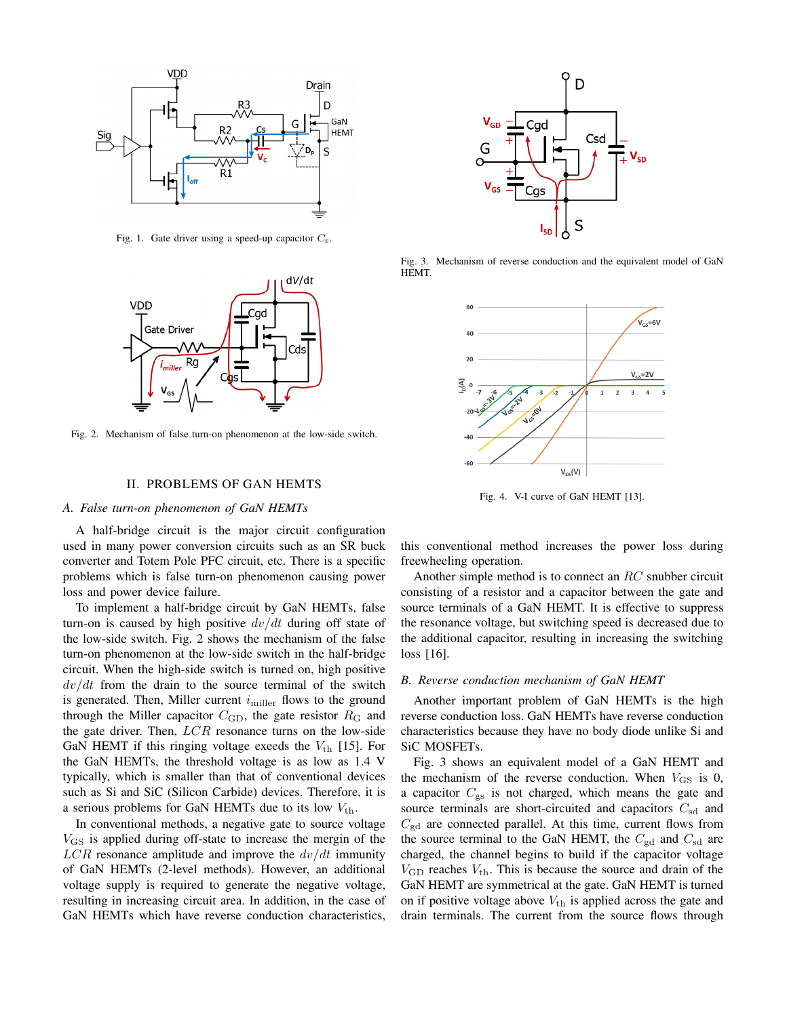

Fig. 1. Gate driver using a speed-up capacitor  $C_s$ .



Fig. 2. Mechanism of false turn-on phenomenon at the low-side switch.

## II. PROBLEMS OF GAN HEMTS

## *A. False turn-on phenomenon of GaN HEMTs*

A half-bridge circuit is the major circuit configuration used in many power conversion circuits such as an SR buck converter and Totem Pole PFC circuit, etc. There is a specific problems which is false turn-on phenomenon causing power loss and power device failure.

To implement a half-bridge circuit by GaN HEMTs, false turn-on is caused by high positive  $dv/dt$  during off state of the low-side switch. Fig. 2 shows the mechanism of the false turn-on phenomenon at the low-side switch in the half-bridge circuit. When the high-side switch is turned on, high positive  $dv/dt$  from the drain to the source terminal of the switch is generated. Then, Miller current  $i_{\text{miller}}$  flows to the ground through the Miller capacitor  $C_{\text{GD}}$ , the gate resistor  $R_{\text{G}}$  and the gate driver. Then,  $LCR$  resonance turns on the low-side GaN HEMT if this ringing voltage exeeds the  $V_{th}$  [15]. For the GaN HEMTs, the threshold voltage is as low as 1.4 V typically, which is smaller than that of conventional devices such as Si and SiC (Silicon Carbide) devices. Therefore, it is a serious problems for GaN HEMTs due to its low  $V_{\text{th}}$ .

In conventional methods, a negative gate to source voltage  $V_{\text{GS}}$  is applied during off-state to increase the mergin of the  $LCR$  resonance amplitude and improve the  $dv/dt$  immunity of GaN HEMTs (2-level methods). However, an additional voltage supply is required to generate the negative voltage, resulting in increasing circuit area. In addition, in the case of GaN HEMTs which have reverse conduction characteristics,



Fig. 3. Mechanism of reverse conduction and the equivalent model of GaN HEMT.



Fig. 4. V-I curve of GaN HEMT [13].

this conventional method increases the power loss during freewheeling operation.

Another simple method is to connect an RC snubber circuit consisting of a resistor and a capacitor between the gate and source terminals of a GaN HEMT. It is effective to suppress the resonance voltage, but switching speed is decreased due to the additional capacitor, resulting in increasing the switching loss [16].

#### *B. Reverse conduction mechanism of GaN HEMT*

Another important problem of GaN HEMTs is the high reverse conduction loss. GaN HEMTs have reverse conduction characteristics because they have no body diode unlike Si and SiC MOSFETs.

Fig. 3 shows an equivalent model of a GaN HEMT and the mechanism of the reverse conduction. When  $V_{\text{GS}}$  is 0, a capacitor  $C_{\rm gs}$  is not charged, which means the gate and source terminals are short-circuited and capacitors  $C_{sd}$  and  $C_{\text{gd}}$  are connected parallel. At this time, current flows from the source terminal to the GaN HEMT, the  $C_{\text{gd}}$  and  $C_{\text{sd}}$  are charged, the channel begins to build if the capacitor voltage  $V_{\text{GD}}$  reaches  $V_{\text{th}}$ . This is because the source and drain of the GaN HEMT are symmetrical at the gate. GaN HEMT is turned on if positive voltage above  $V_{th}$  is applied across the gate and drain terminals. The current from the source flows through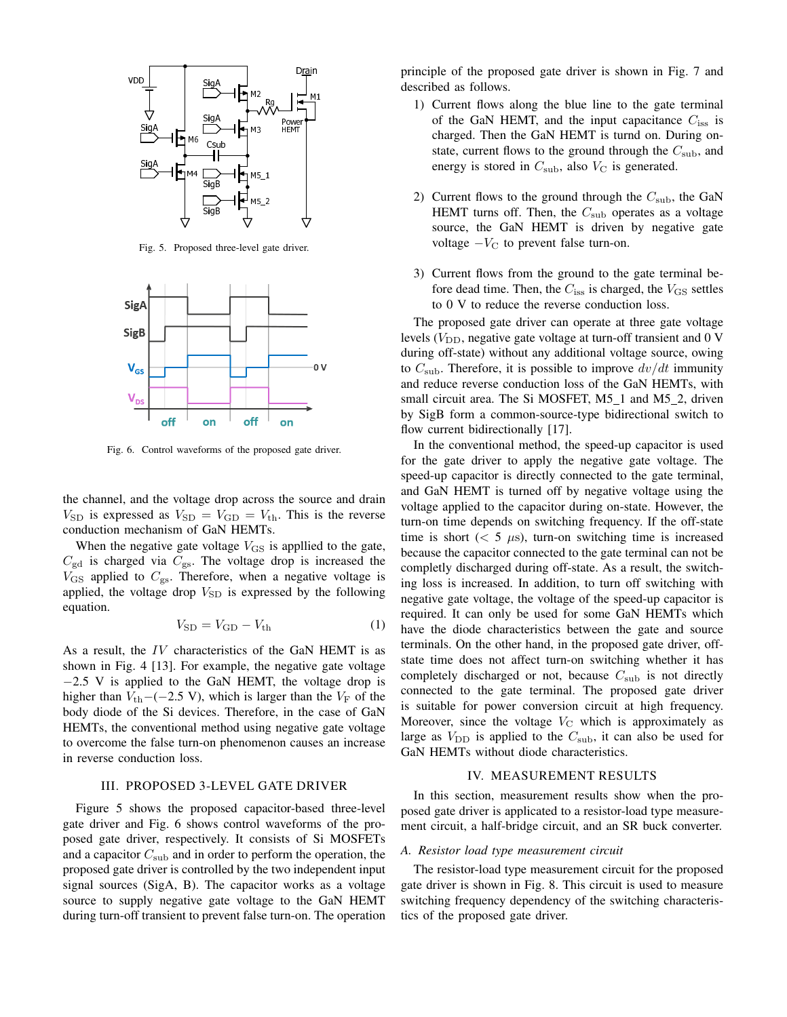

Fig. 5. Proposed three-level gate driver.



Fig. 6. Control waveforms of the proposed gate driver.

the channel, and the voltage drop across the source and drain  $V_{SD}$  is expressed as  $V_{SD} = V_{GD} = V_{th}$ . This is the reverse conduction mechanism of GaN HEMTs.

When the negative gate voltage  $V_{\text{GS}}$  is appllied to the gate,  $C_{\text{gd}}$  is charged via  $C_{\text{gs}}$ . The voltage drop is increased the  $V_{\text{GS}}$  applied to  $C_{\text{gs}}$ . Therefore, when a negative voltage is applied, the voltage drop  $V_{SD}$  is expressed by the following equation.

$$
V_{\rm SD} = V_{\rm GD} - V_{\rm th} \tag{1}
$$

As a result, the IV characteristics of the GaN HEMT is as shown in Fig. 4 [13]. For example, the negative gate voltage −2.5 V is applied to the GaN HEMT, the voltage drop is higher than  $V_{\text{th}}$ −(−2.5 V), which is larger than the  $V_{\text{F}}$  of the body diode of the Si devices. Therefore, in the case of GaN HEMTs, the conventional method using negative gate voltage to overcome the false turn-on phenomenon causes an increase in reverse conduction loss.

## III. PROPOSED 3-LEVEL GATE DRIVER

Figure 5 shows the proposed capacitor-based three-level gate driver and Fig. 6 shows control waveforms of the proposed gate driver, respectively. It consists of Si MOSFETs and a capacitor  $C_{sub}$  and in order to perform the operation, the proposed gate driver is controlled by the two independent input signal sources (SigA, B). The capacitor works as a voltage source to supply negative gate voltage to the GaN HEMT during turn-off transient to prevent false turn-on. The operation principle of the proposed gate driver is shown in Fig. 7 and described as follows.

- 1) Current flows along the blue line to the gate terminal of the GaN HEMT, and the input capacitance  $C_{\text{iss}}$  is charged. Then the GaN HEMT is turnd on. During onstate, current flows to the ground through the  $C_{sub}$ , and energy is stored in  $C_{\text{sub}}$ , also  $V_{\text{C}}$  is generated.
- 2) Current flows to the ground through the  $C_{\text{sub}}$ , the GaN HEMT turns off. Then, the  $C_{sub}$  operates as a voltage source, the GaN HEMT is driven by negative gate voltage  $-V<sub>C</sub>$  to prevent false turn-on.
- 3) Current flows from the ground to the gate terminal before dead time. Then, the  $C_{\text{iss}}$  is charged, the  $V_{\text{GS}}$  settles to 0 V to reduce the reverse conduction loss.

The proposed gate driver can operate at three gate voltage levels  $(V_{\text{DD}}$ , negative gate voltage at turn-off transient and 0 V during off-state) without any additional voltage source, owing to  $C_{sub}$ . Therefore, it is possible to improve  $dv/dt$  immunity and reduce reverse conduction loss of the GaN HEMTs, with small circuit area. The Si MOSFET, M5<sub>1</sub> and M5<sub>2</sub>, driven by SigB form a common-source-type bidirectional switch to flow current bidirectionally [17].

In the conventional method, the speed-up capacitor is used for the gate driver to apply the negative gate voltage. The speed-up capacitor is directly connected to the gate terminal, and GaN HEMT is turned off by negative voltage using the voltage applied to the capacitor during on-state. However, the turn-on time depends on switching frequency. If the off-state time is short ( $\lt$  5  $\mu$ s), turn-on switching time is increased because the capacitor connected to the gate terminal can not be completly discharged during off-state. As a result, the switching loss is increased. In addition, to turn off switching with negative gate voltage, the voltage of the speed-up capacitor is required. It can only be used for some GaN HEMTs which have the diode characteristics between the gate and source terminals. On the other hand, in the proposed gate driver, offstate time does not affect turn-on switching whether it has completely discharged or not, because  $C_{\text{sub}}$  is not directly connected to the gate terminal. The proposed gate driver is suitable for power conversion circuit at high frequency. Moreover, since the voltage  $V_{\rm C}$  which is approximately as large as  $V_{\text{DD}}$  is applied to the  $C_{\text{sub}}$ , it can also be used for GaN HEMTs without diode characteristics.

## IV. MEASUREMENT RESULTS

In this section, measurement results show when the proposed gate driver is applicated to a resistor-load type measurement circuit, a half-bridge circuit, and an SR buck converter.

#### *A. Resistor load type measurement circuit*

The resistor-load type measurement circuit for the proposed gate driver is shown in Fig. 8. This circuit is used to measure switching frequency dependency of the switching characteristics of the proposed gate driver.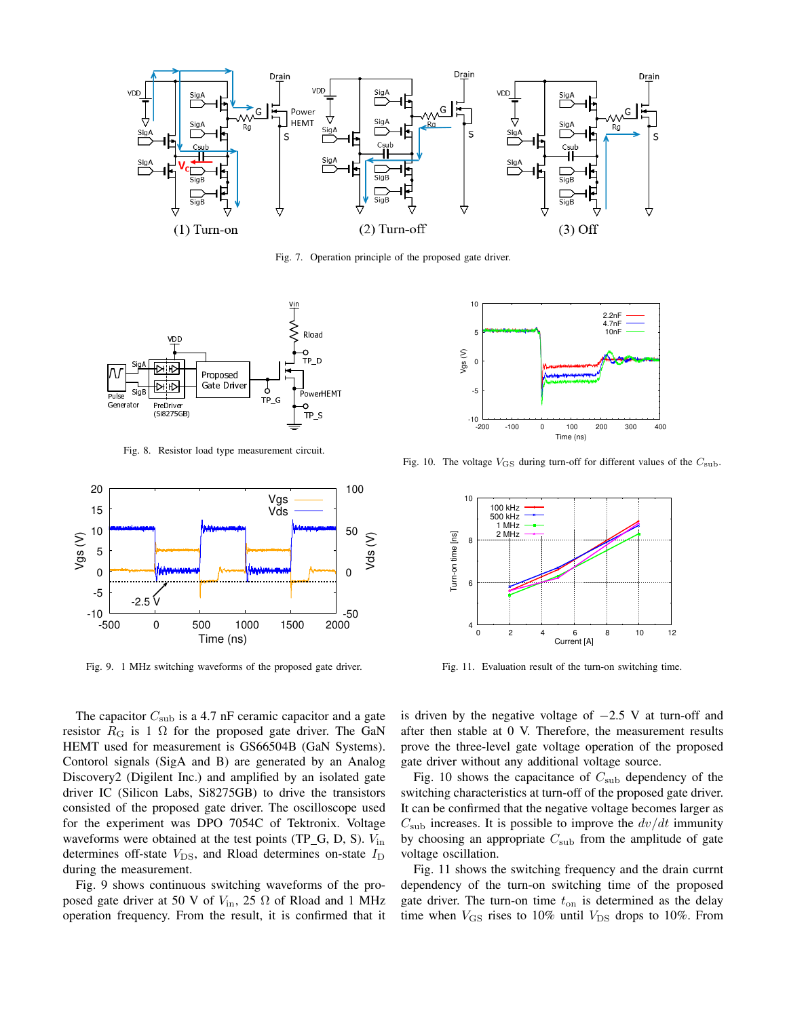

Fig. 7. Operation principle of the proposed gate driver.



Fig. 8. Resistor load type measurement circuit.



Fig. 9. 1 MHz switching waveforms of the proposed gate driver.

The capacitor  $C_{\text{sub}}$  is a 4.7 nF ceramic capacitor and a gate resistor  $R_G$  is 1  $\Omega$  for the proposed gate driver. The GaN HEMT used for measurement is GS66504B (GaN Systems). Contorol signals (SigA and B) are generated by an Analog Discovery2 (Digilent Inc.) and amplified by an isolated gate driver IC (Silicon Labs, Si8275GB) to drive the transistors consisted of the proposed gate driver. The oscilloscope used for the experiment was DPO 7054C of Tektronix. Voltage waveforms were obtained at the test points (TP\_G, D, S).  $V_{\text{in}}$ determines off-state  $V_{\text{DS}}$ , and Rload determines on-state  $I_{\text{D}}$ during the measurement.

Fig. 9 shows continuous switching waveforms of the proposed gate driver at 50 V of  $V_{\text{in}}$ , 25  $\Omega$  of Rload and 1 MHz operation frequency. From the result, it is confirmed that it



Fig. 10. The voltage  $V_{\text{GS}}$  during turn-off for different values of the  $C_{\text{sub}}$ .



Fig. 11. Evaluation result of the turn-on switching time.

is driven by the negative voltage of  $-2.5$  V at turn-off and after then stable at 0 V. Therefore, the measurement results prove the three-level gate voltage operation of the proposed gate driver without any additional voltage source.

Fig. 10 shows the capacitance of  $C_{\text{sub}}$  dependency of the switching characteristics at turn-off of the proposed gate driver. It can be confirmed that the negative voltage becomes larger as  $C_{\text{sub}}$  increases. It is possible to improve the  $dv/dt$  immunity by choosing an appropriate  $C_{\text{sub}}$  from the amplitude of gate voltage oscillation.

Fig. 11 shows the switching frequency and the drain currnt dependency of the turn-on switching time of the proposed gate driver. The turn-on time  $t_{on}$  is determined as the delay time when  $V_{\text{GS}}$  rises to 10% until  $V_{\text{DS}}$  drops to 10%. From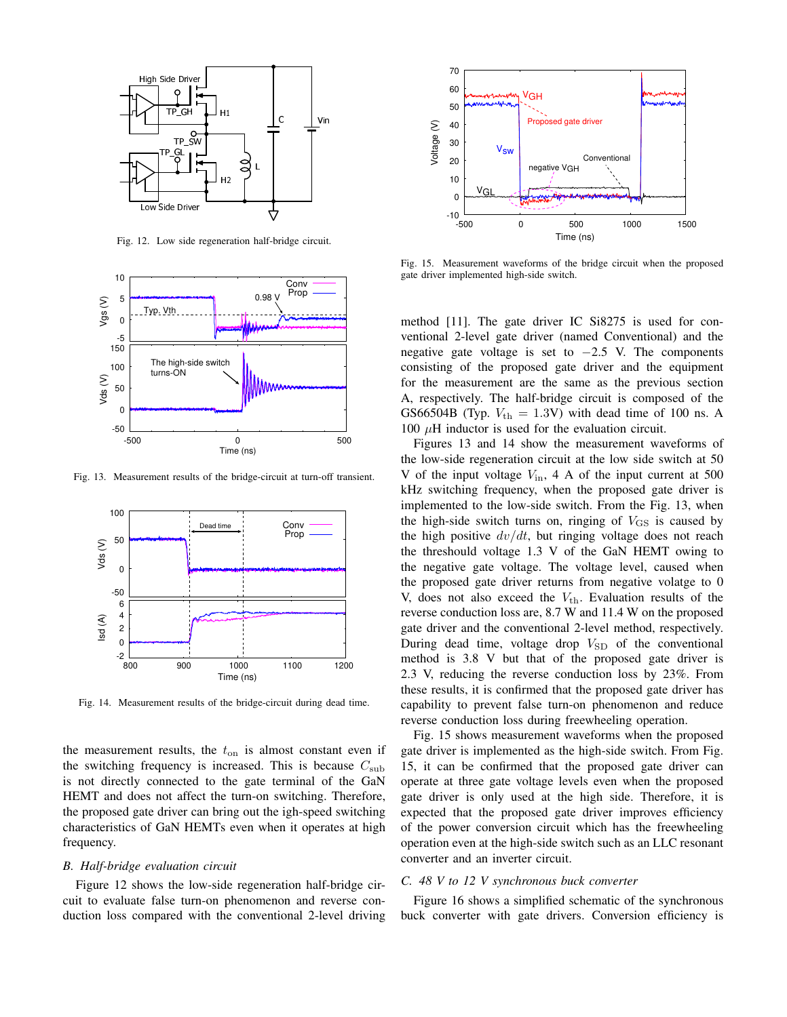

Fig. 12. Low side regeneration half-bridge circuit.



Fig. 13. Measurement results of the bridge-circuit at turn-off transient.



Fig. 14. Measurement results of the bridge-circuit during dead time.

the measurement results, the  $t_{on}$  is almost constant even if the switching frequency is increased. This is because  $C_{sub}$ is not directly connected to the gate terminal of the GaN HEMT and does not affect the turn-on switching. Therefore, the proposed gate driver can bring out the igh-speed switching characteristics of GaN HEMTs even when it operates at high frequency.

### *B. Half-bridge evaluation circuit*

Figure 12 shows the low-side regeneration half-bridge circuit to evaluate false turn-on phenomenon and reverse conduction loss compared with the conventional 2-level driving



Fig. 15. Measurement waveforms of the bridge circuit when the proposed gate driver implemented high-side switch.

method [11]. The gate driver IC Si8275 is used for conventional 2-level gate driver (named Conventional) and the negative gate voltage is set to  $-2.5$  V. The components consisting of the proposed gate driver and the equipment for the measurement are the same as the previous section A, respectively. The half-bridge circuit is composed of the GS66504B (Typ.  $V_{\text{th}} = 1.3$ V) with dead time of 100 ns. A 100  $\mu$ H inductor is used for the evaluation circuit.

Figures 13 and 14 show the measurement waveforms of the low-side regeneration circuit at the low side switch at 50 V of the input voltage  $V_{\text{in}}$ , 4 A of the input current at 500 kHz switching frequency, when the proposed gate driver is implemented to the low-side switch. From the Fig. 13, when the high-side switch turns on, ringing of  $V_{\text{GS}}$  is caused by the high positive  $dv/dt$ , but ringing voltage does not reach the threshould voltage 1.3 V of the GaN HEMT owing to the negative gate voltage. The voltage level, caused when the proposed gate driver returns from negative volatge to 0 V, does not also exceed the  $V_{th}$ . Evaluation results of the reverse conduction loss are, 8.7 W and 11.4 W on the proposed gate driver and the conventional 2-level method, respectively. During dead time, voltage drop  $V_{SD}$  of the conventional method is 3.8 V but that of the proposed gate driver is 2.3 V, reducing the reverse conduction loss by 23%. From these results, it is confirmed that the proposed gate driver has capability to prevent false turn-on phenomenon and reduce reverse conduction loss during freewheeling operation.

Fig. 15 shows measurement waveforms when the proposed gate driver is implemented as the high-side switch. From Fig. 15, it can be confirmed that the proposed gate driver can operate at three gate voltage levels even when the proposed gate driver is only used at the high side. Therefore, it is expected that the proposed gate driver improves efficiency of the power conversion circuit which has the freewheeling operation even at the high-side switch such as an LLC resonant converter and an inverter circuit.

## *C. 48 V to 12 V synchronous buck converter*

Figure 16 shows a simplified schematic of the synchronous buck converter with gate drivers. Conversion efficiency is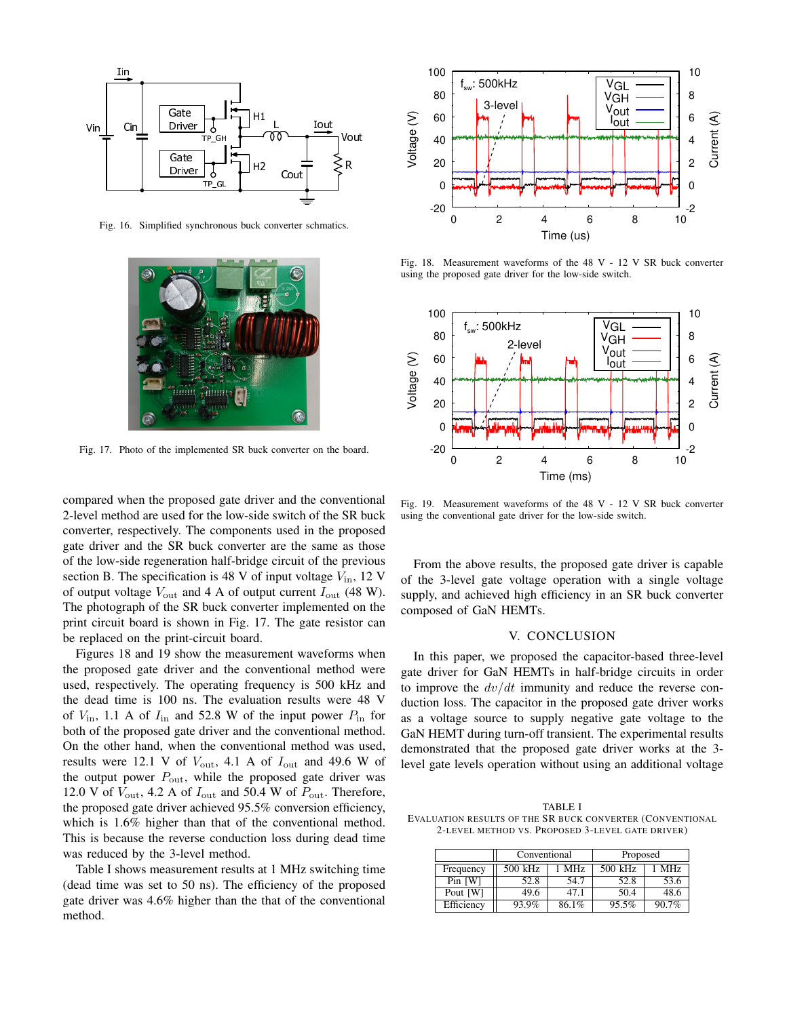

Fig. 16. Simplified synchronous buck converter schmatics.



Fig. 17. Photo of the implemented SR buck converter on the board.

compared when the proposed gate driver and the conventional 2-level method are used for the low-side switch of the SR buck converter, respectively. The components used in the proposed gate driver and the SR buck converter are the same as those of the low-side regeneration half-bridge circuit of the previous section B. The specification is 48 V of input voltage  $V_{\text{in}}$ , 12 V of output voltage  $V_{\text{out}}$  and 4 A of output current  $I_{\text{out}}$  (48 W). The photograph of the SR buck converter implemented on the print circuit board is shown in Fig. 17. The gate resistor can be replaced on the print-circuit board.

Figures 18 and 19 show the measurement waveforms when the proposed gate driver and the conventional method were used, respectively. The operating frequency is 500 kHz and the dead time is 100 ns. The evaluation results were 48 V of  $V_{\text{in}}$ , 1.1 A of  $I_{\text{in}}$  and 52.8 W of the input power  $P_{\text{in}}$  for both of the proposed gate driver and the conventional method. On the other hand, when the conventional method was used, results were 12.1 V of  $V_{\text{out}}$ , 4.1 A of  $I_{\text{out}}$  and 49.6 W of the output power  $P_{\text{out}}$ , while the proposed gate driver was 12.0 V of  $V_{\text{out}}$ , 4.2 A of  $I_{\text{out}}$  and 50.4 W of  $P_{\text{out}}$ . Therefore, the proposed gate driver achieved 95.5% conversion efficiency, which is 1.6% higher than that of the conventional method. This is because the reverse conduction loss during dead time was reduced by the 3-level method.

Table I shows measurement results at 1 MHz switching time (dead time was set to 50 ns). The efficiency of the proposed gate driver was 4.6% higher than the that of the conventional method.



Fig. 18. Measurement waveforms of the 48 V - 12 V SR buck converter using the proposed gate driver for the low-side switch.



Fig. 19. Measurement waveforms of the 48 V - 12 V SR buck converter using the conventional gate driver for the low-side switch.

From the above results, the proposed gate driver is capable of the 3-level gate voltage operation with a single voltage supply, and achieved high efficiency in an SR buck converter composed of GaN HEMTs.

## V. CONCLUSION

In this paper, we proposed the capacitor-based three-level gate driver for GaN HEMTs in half-bridge circuits in order to improve the  $dv/dt$  immunity and reduce the reverse conduction loss. The capacitor in the proposed gate driver works as a voltage source to supply negative gate voltage to the GaN HEMT during turn-off transient. The experimental results demonstrated that the proposed gate driver works at the 3 level gate levels operation without using an additional voltage

TABLE I EVALUATION RESULTS OF THE SR BUCK CONVERTER (CONVENTIONAL 2-LEVEL METHOD VS. PROPOSED 3-LEVEL GATE DRIVER)

|            | Conventional |                 | Proposed |       |
|------------|--------------|-----------------|----------|-------|
| Frequency  | 500 kHz      | MH <sub>z</sub> | 500 kHz  | MHz   |
| $Pin$ [W]  | 52.8         | 54.7            | 52.8     | 53.6  |
| Pout [W]   | 49.6         | 47.1            | 50.4     | 48.6  |
| Efficiency | 93.9%        | 86.1%           | 95.5%    | 90.7% |